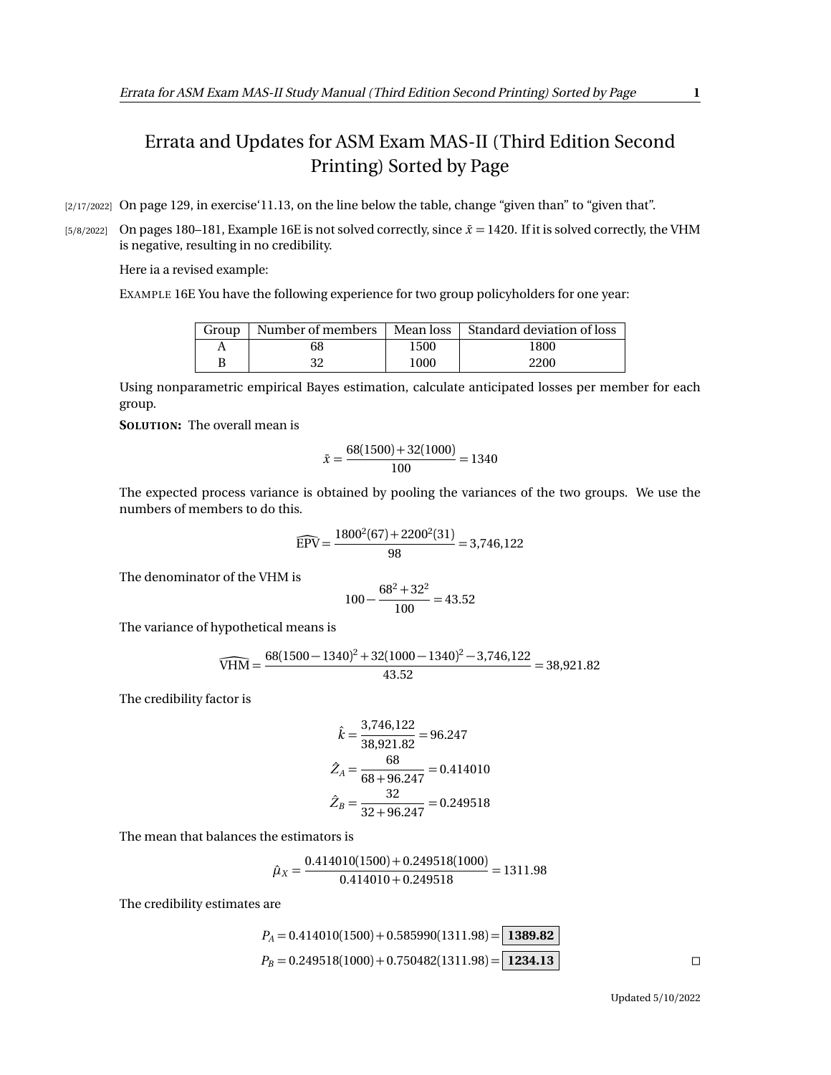## Errata and Updates for ASM Exam MAS-II (Third Edition Second Printing) Sorted by Page

[2/17/2022] On page 129, in exercise'11.13, on the line below the table, change "given than" to "given that".

[5/8/2022] On pages 180–181, Example 16E is not solved correctly, since  $\bar{x}$  = 1420. If it is solved correctly, the VHM is negative, resulting in no credibility.

Here ia a revised example:

EXAMPLE 16E You have the following experience for two group policyholders for one year:

| Group | Number of members | Mean loss | Standard deviation of loss |
|-------|-------------------|-----------|----------------------------|
|       | 68                | 1500      | 1800                       |
|       | 20                | 1000      | 2200                       |

Using nonparametric empirical Bayes estimation, calculate anticipated losses per member for each group.

**SOLUTION:** The overall mean is

$$
\bar{x} = \frac{68(1500) + 32(1000)}{100} = 1340
$$

The expected process variance is obtained by pooling the variances of the two groups. We use the numbers of members to do this.

$$
\widehat{EPV} = \frac{1800^2(67) + 2200^2(31)}{98} = 3,746,122
$$

The denominator of the VHM is

$$
100 - \frac{68^2 + 32^2}{100} = 43.52
$$

The variance of hypothetical means is

$$
\widehat{\text{VHM}} = \frac{68(1500-1340)^2 + 32(1000-1340)^2 - 3{,}746{,}122}{43.52} = 38{,}921.82
$$

The credibility factor is

$$
\hat{k} = \frac{3,746,122}{38,921.82} = 96.247
$$

$$
\hat{Z}_A = \frac{68}{68 + 96.247} = 0.414010
$$

$$
\hat{Z}_B = \frac{32}{32 + 96.247} = 0.249518
$$

The mean that balances the estimators is

$$
\hat{\mu}_X = \frac{0.414010(1500) + 0.249518(1000)}{0.414010 + 0.249518} = 1311.98
$$

The credibility estimates are

$$
P_A = 0.414010(1500) + 0.585990(1311.98) = \boxed{1389.82}
$$
  
\n
$$
P_B = 0.249518(1000) + 0.750482(1311.98) = \boxed{1234.13}
$$